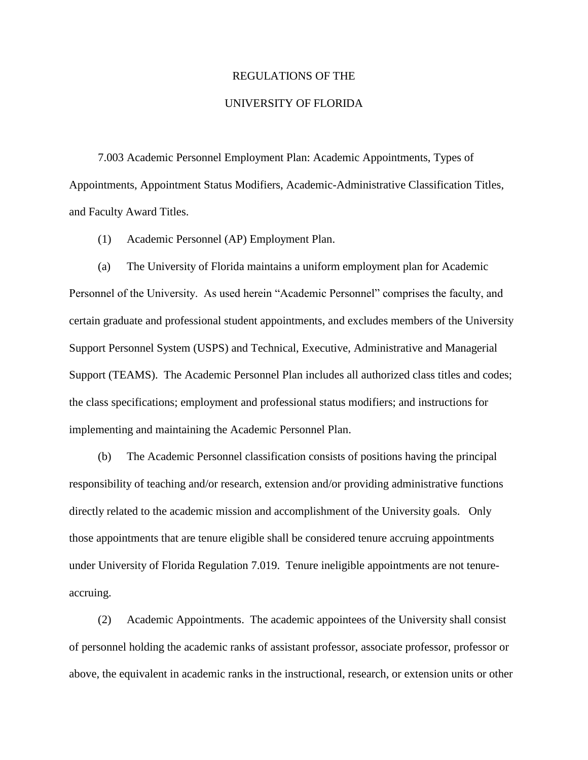## REGULATIONS OF THE

## UNIVERSITY OF FLORIDA

7.003 Academic Personnel Employment Plan: Academic Appointments, Types of Appointments, Appointment Status Modifiers, Academic-Administrative Classification Titles, and Faculty Award Titles.

(1) Academic Personnel (AP) Employment Plan.

(a) The University of Florida maintains a uniform employment plan for Academic Personnel of the University. As used herein "Academic Personnel" comprises the faculty, and certain graduate and professional student appointments, and excludes members of the University Support Personnel System (USPS) and Technical, Executive, Administrative and Managerial Support (TEAMS). The Academic Personnel Plan includes all authorized class titles and codes; the class specifications; employment and professional status modifiers; and instructions for implementing and maintaining the Academic Personnel Plan.

(b) The Academic Personnel classification consists of positions having the principal responsibility of teaching and/or research, extension and/or providing administrative functions directly related to the academic mission and accomplishment of the University goals. Only those appointments that are tenure eligible shall be considered tenure accruing appointments under University of Florida Regulation 7.019. Tenure ineligible appointments are not tenureaccruing.

(2) Academic Appointments. The academic appointees of the University shall consist of personnel holding the academic ranks of assistant professor, associate professor, professor or above, the equivalent in academic ranks in the instructional, research, or extension units or other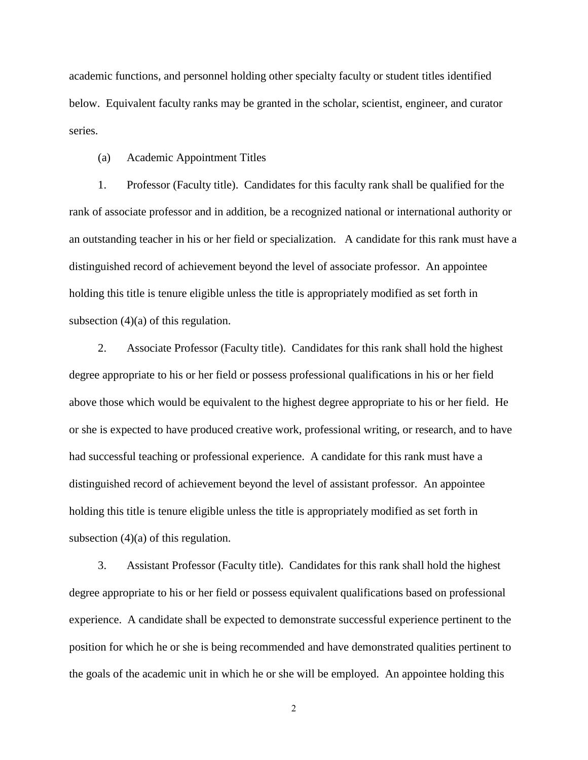academic functions, and personnel holding other specialty faculty or student titles identified below. Equivalent faculty ranks may be granted in the scholar, scientist, engineer, and curator series.

(a) Academic Appointment Titles

1. Professor (Faculty title). Candidates for this faculty rank shall be qualified for the rank of associate professor and in addition, be a recognized national or international authority or an outstanding teacher in his or her field or specialization. A candidate for this rank must have a distinguished record of achievement beyond the level of associate professor. An appointee holding this title is tenure eligible unless the title is appropriately modified as set forth in subsection (4)(a) of this regulation.

2. Associate Professor (Faculty title). Candidates for this rank shall hold the highest degree appropriate to his or her field or possess professional qualifications in his or her field above those which would be equivalent to the highest degree appropriate to his or her field. He or she is expected to have produced creative work, professional writing, or research, and to have had successful teaching or professional experience. A candidate for this rank must have a distinguished record of achievement beyond the level of assistant professor. An appointee holding this title is tenure eligible unless the title is appropriately modified as set forth in subsection  $(4)(a)$  of this regulation.

3. Assistant Professor (Faculty title). Candidates for this rank shall hold the highest degree appropriate to his or her field or possess equivalent qualifications based on professional experience. A candidate shall be expected to demonstrate successful experience pertinent to the position for which he or she is being recommended and have demonstrated qualities pertinent to the goals of the academic unit in which he or she will be employed. An appointee holding this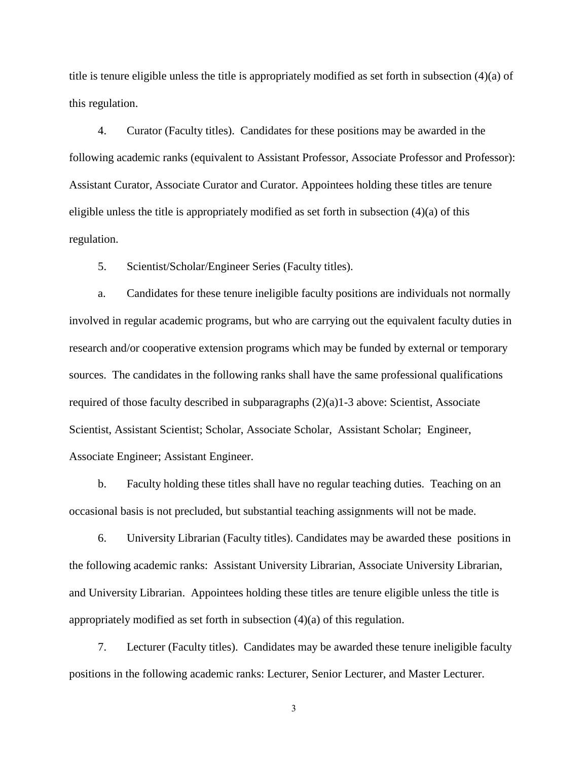title is tenure eligible unless the title is appropriately modified as set forth in subsection (4)(a) of this regulation.

4. Curator (Faculty titles). Candidates for these positions may be awarded in the following academic ranks (equivalent to Assistant Professor, Associate Professor and Professor): Assistant Curator, Associate Curator and Curator. Appointees holding these titles are tenure eligible unless the title is appropriately modified as set forth in subsection  $(4)(a)$  of this regulation.

5. Scientist/Scholar/Engineer Series (Faculty titles).

a. Candidates for these tenure ineligible faculty positions are individuals not normally involved in regular academic programs, but who are carrying out the equivalent faculty duties in research and/or cooperative extension programs which may be funded by external or temporary sources. The candidates in the following ranks shall have the same professional qualifications required of those faculty described in subparagraphs (2)(a)1-3 above: Scientist, Associate Scientist, Assistant Scientist; Scholar, Associate Scholar, Assistant Scholar; Engineer, Associate Engineer; Assistant Engineer.

b. Faculty holding these titles shall have no regular teaching duties. Teaching on an occasional basis is not precluded, but substantial teaching assignments will not be made.

6. University Librarian (Faculty titles). Candidates may be awarded these positions in the following academic ranks: Assistant University Librarian, Associate University Librarian, and University Librarian. Appointees holding these titles are tenure eligible unless the title is appropriately modified as set forth in subsection (4)(a) of this regulation.

7. Lecturer (Faculty titles). Candidates may be awarded these tenure ineligible faculty positions in the following academic ranks: Lecturer, Senior Lecturer, and Master Lecturer.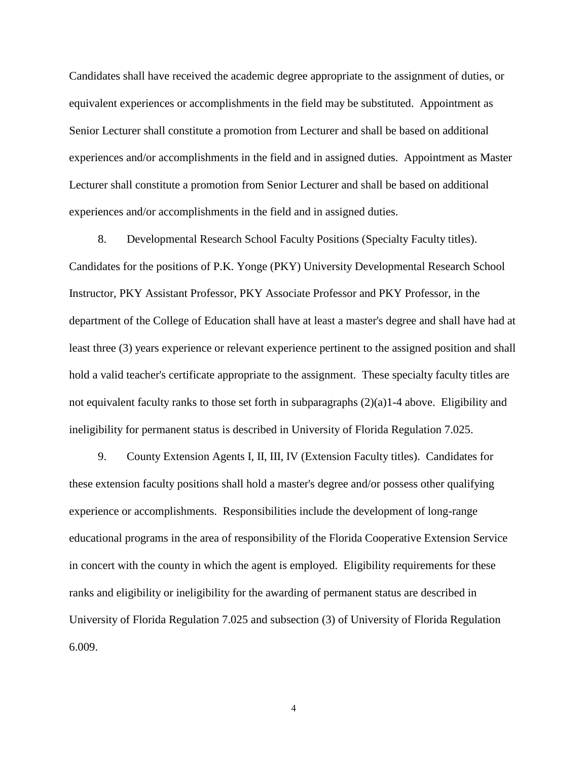Candidates shall have received the academic degree appropriate to the assignment of duties, or equivalent experiences or accomplishments in the field may be substituted. Appointment as Senior Lecturer shall constitute a promotion from Lecturer and shall be based on additional experiences and/or accomplishments in the field and in assigned duties. Appointment as Master Lecturer shall constitute a promotion from Senior Lecturer and shall be based on additional experiences and/or accomplishments in the field and in assigned duties.

8. Developmental Research School Faculty Positions (Specialty Faculty titles). Candidates for the positions of P.K. Yonge (PKY) University Developmental Research School Instructor, PKY Assistant Professor, PKY Associate Professor and PKY Professor, in the department of the College of Education shall have at least a master's degree and shall have had at least three (3) years experience or relevant experience pertinent to the assigned position and shall hold a valid teacher's certificate appropriate to the assignment. These specialty faculty titles are not equivalent faculty ranks to those set forth in subparagraphs (2)(a)1-4 above. Eligibility and ineligibility for permanent status is described in University of Florida Regulation 7.025.

9. County Extension Agents I, II, III, IV (Extension Faculty titles). Candidates for these extension faculty positions shall hold a master's degree and/or possess other qualifying experience or accomplishments. Responsibilities include the development of long-range educational programs in the area of responsibility of the Florida Cooperative Extension Service in concert with the county in which the agent is employed. Eligibility requirements for these ranks and eligibility or ineligibility for the awarding of permanent status are described in University of Florida Regulation 7.025 and subsection (3) of University of Florida Regulation 6.009.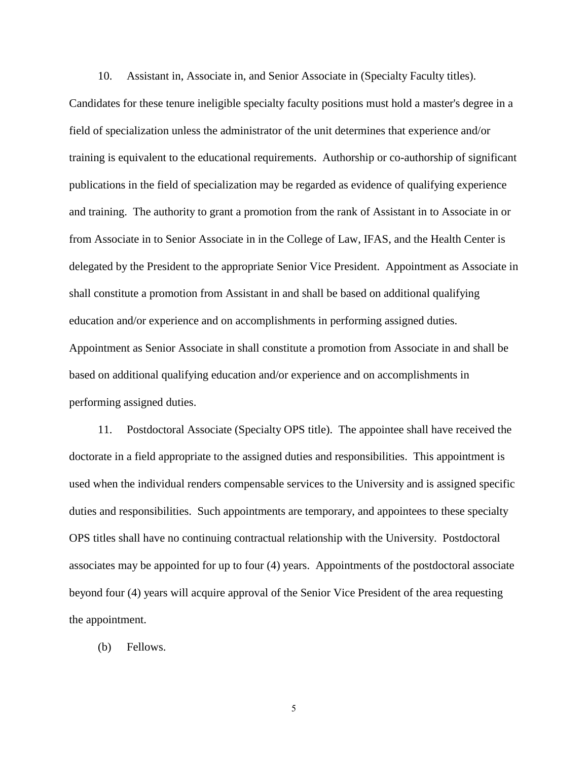10. Assistant in, Associate in, and Senior Associate in (Specialty Faculty titles).

Candidates for these tenure ineligible specialty faculty positions must hold a master's degree in a field of specialization unless the administrator of the unit determines that experience and/or training is equivalent to the educational requirements. Authorship or co-authorship of significant publications in the field of specialization may be regarded as evidence of qualifying experience and training. The authority to grant a promotion from the rank of Assistant in to Associate in or from Associate in to Senior Associate in in the College of Law, IFAS, and the Health Center is delegated by the President to the appropriate Senior Vice President. Appointment as Associate in shall constitute a promotion from Assistant in and shall be based on additional qualifying education and/or experience and on accomplishments in performing assigned duties. Appointment as Senior Associate in shall constitute a promotion from Associate in and shall be based on additional qualifying education and/or experience and on accomplishments in performing assigned duties.

11. Postdoctoral Associate (Specialty OPS title). The appointee shall have received the doctorate in a field appropriate to the assigned duties and responsibilities. This appointment is used when the individual renders compensable services to the University and is assigned specific duties and responsibilities. Such appointments are temporary, and appointees to these specialty OPS titles shall have no continuing contractual relationship with the University. Postdoctoral associates may be appointed for up to four (4) years. Appointments of the postdoctoral associate beyond four (4) years will acquire approval of the Senior Vice President of the area requesting the appointment.

(b) Fellows.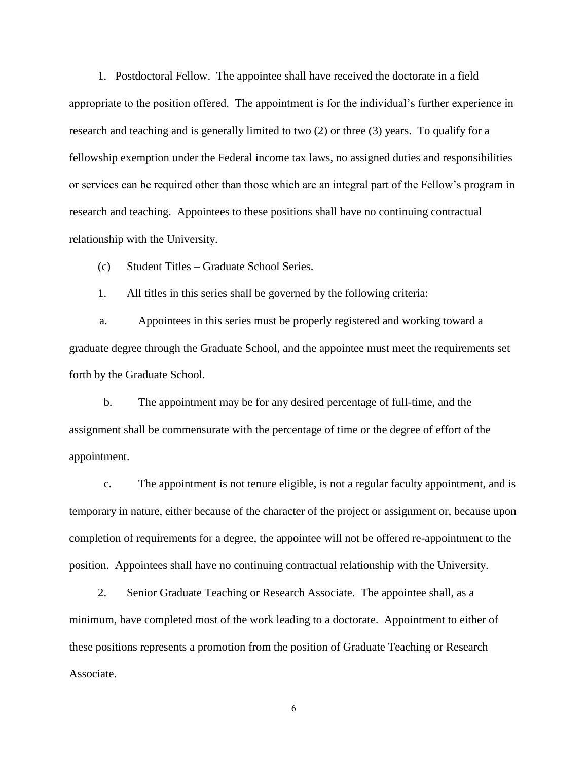1. Postdoctoral Fellow. The appointee shall have received the doctorate in a field appropriate to the position offered. The appointment is for the individual's further experience in research and teaching and is generally limited to two (2) or three (3) years. To qualify for a fellowship exemption under the Federal income tax laws, no assigned duties and responsibilities or services can be required other than those which are an integral part of the Fellow's program in research and teaching. Appointees to these positions shall have no continuing contractual relationship with the University.

(c) Student Titles – Graduate School Series.

1. All titles in this series shall be governed by the following criteria:

a. Appointees in this series must be properly registered and working toward a graduate degree through the Graduate School, and the appointee must meet the requirements set forth by the Graduate School.

b. The appointment may be for any desired percentage of full-time, and the assignment shall be commensurate with the percentage of time or the degree of effort of the appointment.

c. The appointment is not tenure eligible, is not a regular faculty appointment, and is temporary in nature, either because of the character of the project or assignment or, because upon completion of requirements for a degree, the appointee will not be offered re-appointment to the position. Appointees shall have no continuing contractual relationship with the University.

2. Senior Graduate Teaching or Research Associate. The appointee shall, as a minimum, have completed most of the work leading to a doctorate. Appointment to either of these positions represents a promotion from the position of Graduate Teaching or Research Associate.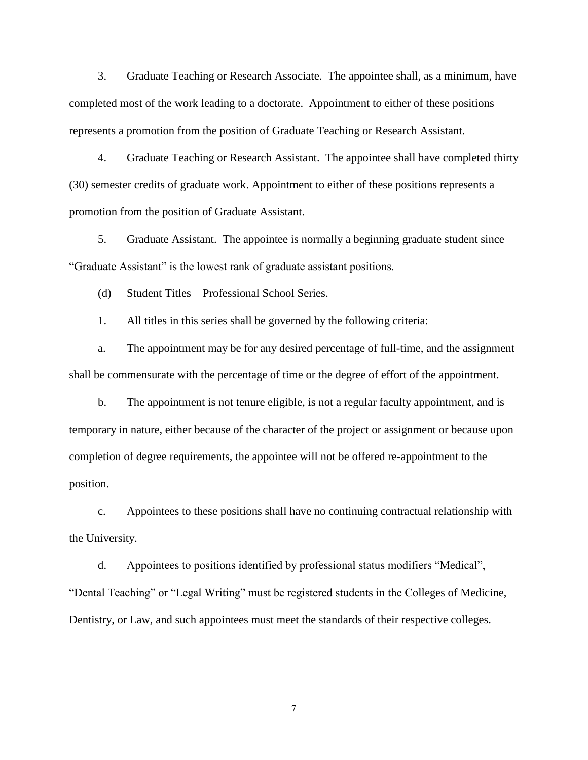3. Graduate Teaching or Research Associate. The appointee shall, as a minimum, have completed most of the work leading to a doctorate. Appointment to either of these positions represents a promotion from the position of Graduate Teaching or Research Assistant.

4. Graduate Teaching or Research Assistant. The appointee shall have completed thirty (30) semester credits of graduate work. Appointment to either of these positions represents a promotion from the position of Graduate Assistant.

5. Graduate Assistant. The appointee is normally a beginning graduate student since "Graduate Assistant" is the lowest rank of graduate assistant positions.

(d) Student Titles – Professional School Series.

1. All titles in this series shall be governed by the following criteria:

a. The appointment may be for any desired percentage of full-time, and the assignment shall be commensurate with the percentage of time or the degree of effort of the appointment.

b. The appointment is not tenure eligible, is not a regular faculty appointment, and is temporary in nature, either because of the character of the project or assignment or because upon completion of degree requirements, the appointee will not be offered re-appointment to the position.

c. Appointees to these positions shall have no continuing contractual relationship with the University.

d. Appointees to positions identified by professional status modifiers "Medical", "Dental Teaching" or "Legal Writing" must be registered students in the Colleges of Medicine, Dentistry, or Law, and such appointees must meet the standards of their respective colleges.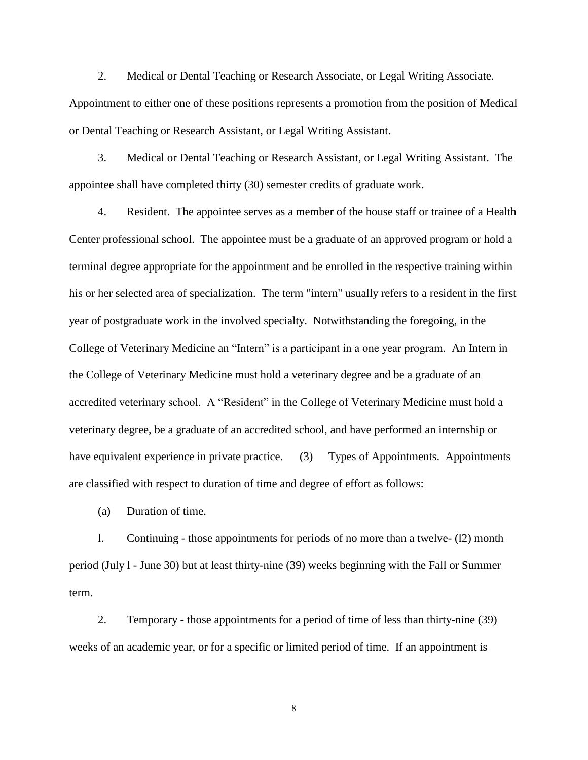2. Medical or Dental Teaching or Research Associate, or Legal Writing Associate.

Appointment to either one of these positions represents a promotion from the position of Medical or Dental Teaching or Research Assistant, or Legal Writing Assistant.

3. Medical or Dental Teaching or Research Assistant, or Legal Writing Assistant. The appointee shall have completed thirty (30) semester credits of graduate work.

4. Resident. The appointee serves as a member of the house staff or trainee of a Health Center professional school. The appointee must be a graduate of an approved program or hold a terminal degree appropriate for the appointment and be enrolled in the respective training within his or her selected area of specialization. The term "intern" usually refers to a resident in the first year of postgraduate work in the involved specialty. Notwithstanding the foregoing, in the College of Veterinary Medicine an "Intern" is a participant in a one year program. An Intern in the College of Veterinary Medicine must hold a veterinary degree and be a graduate of an accredited veterinary school. A "Resident" in the College of Veterinary Medicine must hold a veterinary degree, be a graduate of an accredited school, and have performed an internship or have equivalent experience in private practice. (3) Types of Appointments. Appointments are classified with respect to duration of time and degree of effort as follows:

(a) Duration of time.

l. Continuing - those appointments for periods of no more than a twelve- (l2) month period (July l - June 30) but at least thirty-nine (39) weeks beginning with the Fall or Summer term.

2. Temporary - those appointments for a period of time of less than thirty-nine (39) weeks of an academic year, or for a specific or limited period of time. If an appointment is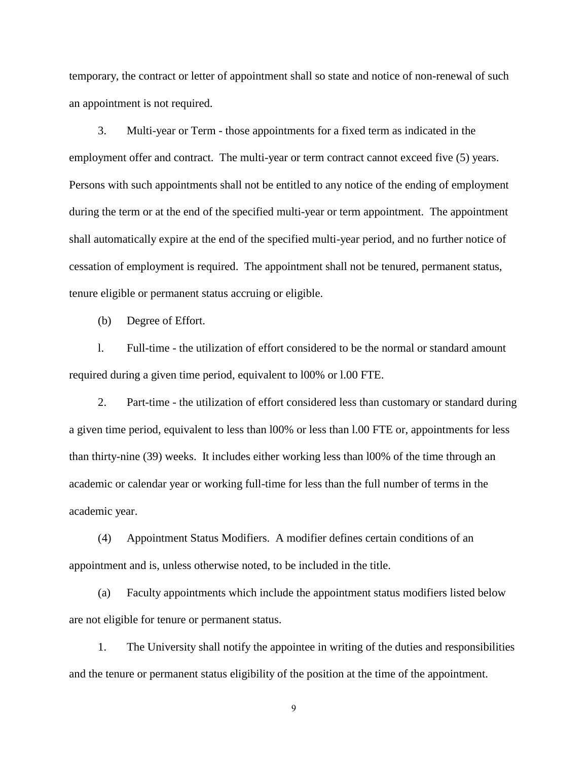temporary, the contract or letter of appointment shall so state and notice of non-renewal of such an appointment is not required.

3. Multi-year or Term - those appointments for a fixed term as indicated in the employment offer and contract. The multi-year or term contract cannot exceed five (5) years. Persons with such appointments shall not be entitled to any notice of the ending of employment during the term or at the end of the specified multi-year or term appointment. The appointment shall automatically expire at the end of the specified multi-year period, and no further notice of cessation of employment is required. The appointment shall not be tenured, permanent status, tenure eligible or permanent status accruing or eligible.

(b) Degree of Effort.

l. Full-time - the utilization of effort considered to be the normal or standard amount required during a given time period, equivalent to l00% or l.00 FTE.

2. Part-time - the utilization of effort considered less than customary or standard during a given time period, equivalent to less than l00% or less than l.00 FTE or, appointments for less than thirty-nine (39) weeks. It includes either working less than l00% of the time through an academic or calendar year or working full-time for less than the full number of terms in the academic year.

(4) Appointment Status Modifiers. A modifier defines certain conditions of an appointment and is, unless otherwise noted, to be included in the title.

(a) Faculty appointments which include the appointment status modifiers listed below are not eligible for tenure or permanent status.

1. The University shall notify the appointee in writing of the duties and responsibilities and the tenure or permanent status eligibility of the position at the time of the appointment.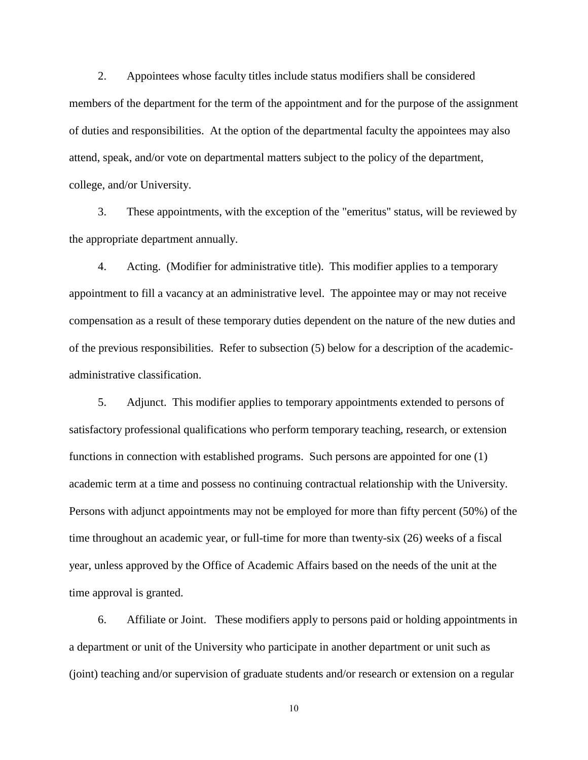2. Appointees whose faculty titles include status modifiers shall be considered members of the department for the term of the appointment and for the purpose of the assignment of duties and responsibilities. At the option of the departmental faculty the appointees may also attend, speak, and/or vote on departmental matters subject to the policy of the department, college, and/or University.

3. These appointments, with the exception of the "emeritus" status, will be reviewed by the appropriate department annually.

4. Acting. (Modifier for administrative title). This modifier applies to a temporary appointment to fill a vacancy at an administrative level. The appointee may or may not receive compensation as a result of these temporary duties dependent on the nature of the new duties and of the previous responsibilities. Refer to subsection (5) below for a description of the academicadministrative classification.

5. Adjunct. This modifier applies to temporary appointments extended to persons of satisfactory professional qualifications who perform temporary teaching, research, or extension functions in connection with established programs. Such persons are appointed for one (1) academic term at a time and possess no continuing contractual relationship with the University. Persons with adjunct appointments may not be employed for more than fifty percent (50%) of the time throughout an academic year, or full-time for more than twenty-six (26) weeks of a fiscal year, unless approved by the Office of Academic Affairs based on the needs of the unit at the time approval is granted.

6. Affiliate or Joint. These modifiers apply to persons paid or holding appointments in a department or unit of the University who participate in another department or unit such as (joint) teaching and/or supervision of graduate students and/or research or extension on a regular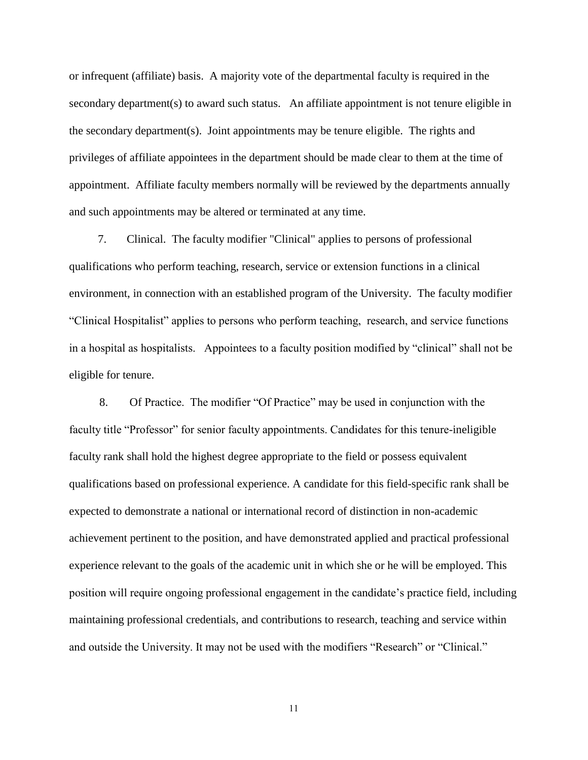or infrequent (affiliate) basis. A majority vote of the departmental faculty is required in the secondary department(s) to award such status. An affiliate appointment is not tenure eligible in the secondary department(s). Joint appointments may be tenure eligible. The rights and privileges of affiliate appointees in the department should be made clear to them at the time of appointment. Affiliate faculty members normally will be reviewed by the departments annually and such appointments may be altered or terminated at any time.

7. Clinical. The faculty modifier "Clinical" applies to persons of professional qualifications who perform teaching, research, service or extension functions in a clinical environment, in connection with an established program of the University. The faculty modifier "Clinical Hospitalist" applies to persons who perform teaching, research, and service functions in a hospital as hospitalists. Appointees to a faculty position modified by "clinical" shall not be eligible for tenure.

8. Of Practice. The modifier "Of Practice" may be used in conjunction with the faculty title "Professor" for senior faculty appointments. Candidates for this tenure-ineligible faculty rank shall hold the highest degree appropriate to the field or possess equivalent qualifications based on professional experience. A candidate for this field-specific rank shall be expected to demonstrate a national or international record of distinction in non-academic achievement pertinent to the position, and have demonstrated applied and practical professional experience relevant to the goals of the academic unit in which she or he will be employed. This position will require ongoing professional engagement in the candidate's practice field, including maintaining professional credentials, and contributions to research, teaching and service within and outside the University. It may not be used with the modifiers "Research" or "Clinical."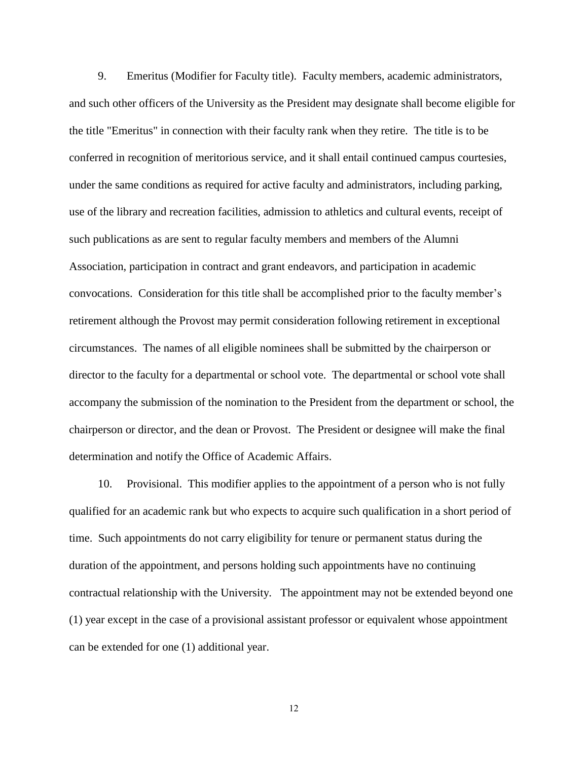9. Emeritus (Modifier for Faculty title). Faculty members, academic administrators, and such other officers of the University as the President may designate shall become eligible for the title "Emeritus" in connection with their faculty rank when they retire. The title is to be conferred in recognition of meritorious service, and it shall entail continued campus courtesies, under the same conditions as required for active faculty and administrators, including parking, use of the library and recreation facilities, admission to athletics and cultural events, receipt of such publications as are sent to regular faculty members and members of the Alumni Association, participation in contract and grant endeavors, and participation in academic convocations. Consideration for this title shall be accomplished prior to the faculty member's retirement although the Provost may permit consideration following retirement in exceptional circumstances. The names of all eligible nominees shall be submitted by the chairperson or director to the faculty for a departmental or school vote. The departmental or school vote shall accompany the submission of the nomination to the President from the department or school, the chairperson or director, and the dean or Provost. The President or designee will make the final determination and notify the Office of Academic Affairs.

10. Provisional. This modifier applies to the appointment of a person who is not fully qualified for an academic rank but who expects to acquire such qualification in a short period of time. Such appointments do not carry eligibility for tenure or permanent status during the duration of the appointment, and persons holding such appointments have no continuing contractual relationship with the University. The appointment may not be extended beyond one (1) year except in the case of a provisional assistant professor or equivalent whose appointment can be extended for one (1) additional year.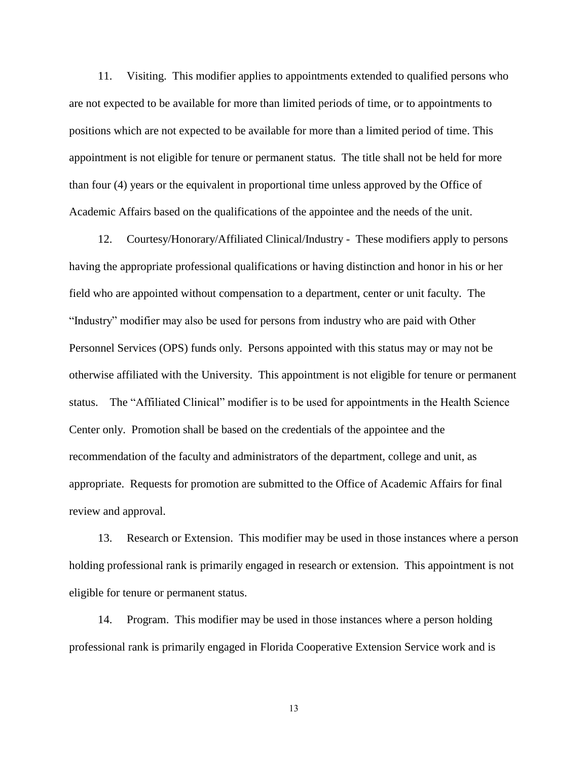11. Visiting. This modifier applies to appointments extended to qualified persons who are not expected to be available for more than limited periods of time, or to appointments to positions which are not expected to be available for more than a limited period of time. This appointment is not eligible for tenure or permanent status. The title shall not be held for more than four (4) years or the equivalent in proportional time unless approved by the Office of Academic Affairs based on the qualifications of the appointee and the needs of the unit.

12. Courtesy/Honorary/Affiliated Clinical/Industry - These modifiers apply to persons having the appropriate professional qualifications or having distinction and honor in his or her field who are appointed without compensation to a department, center or unit faculty. The "Industry" modifier may also be used for persons from industry who are paid with Other Personnel Services (OPS) funds only. Persons appointed with this status may or may not be otherwise affiliated with the University. This appointment is not eligible for tenure or permanent status. The "Affiliated Clinical" modifier is to be used for appointments in the Health Science Center only. Promotion shall be based on the credentials of the appointee and the recommendation of the faculty and administrators of the department, college and unit, as appropriate. Requests for promotion are submitted to the Office of Academic Affairs for final review and approval.

13. Research or Extension. This modifier may be used in those instances where a person holding professional rank is primarily engaged in research or extension. This appointment is not eligible for tenure or permanent status.

14. Program. This modifier may be used in those instances where a person holding professional rank is primarily engaged in Florida Cooperative Extension Service work and is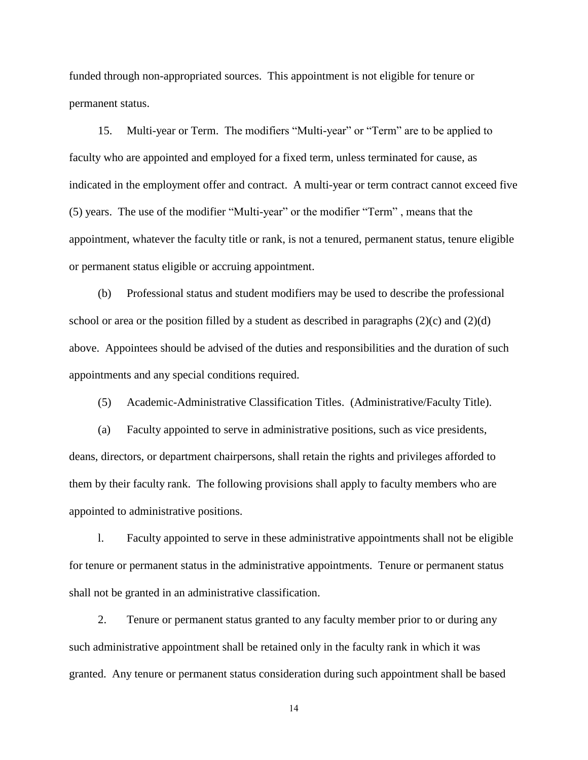funded through non-appropriated sources. This appointment is not eligible for tenure or permanent status.

15. Multi-year or Term. The modifiers "Multi-year" or "Term" are to be applied to faculty who are appointed and employed for a fixed term, unless terminated for cause, as indicated in the employment offer and contract. A multi-year or term contract cannot exceed five (5) years. The use of the modifier "Multi-year" or the modifier "Term" , means that the appointment, whatever the faculty title or rank, is not a tenured, permanent status, tenure eligible or permanent status eligible or accruing appointment.

(b) Professional status and student modifiers may be used to describe the professional school or area or the position filled by a student as described in paragraphs  $(2)(c)$  and  $(2)(d)$ above. Appointees should be advised of the duties and responsibilities and the duration of such appointments and any special conditions required.

(5) Academic-Administrative Classification Titles. (Administrative/Faculty Title).

(a) Faculty appointed to serve in administrative positions, such as vice presidents, deans, directors, or department chairpersons, shall retain the rights and privileges afforded to them by their faculty rank. The following provisions shall apply to faculty members who are appointed to administrative positions.

l. Faculty appointed to serve in these administrative appointments shall not be eligible for tenure or permanent status in the administrative appointments. Tenure or permanent status shall not be granted in an administrative classification.

2. Tenure or permanent status granted to any faculty member prior to or during any such administrative appointment shall be retained only in the faculty rank in which it was granted. Any tenure or permanent status consideration during such appointment shall be based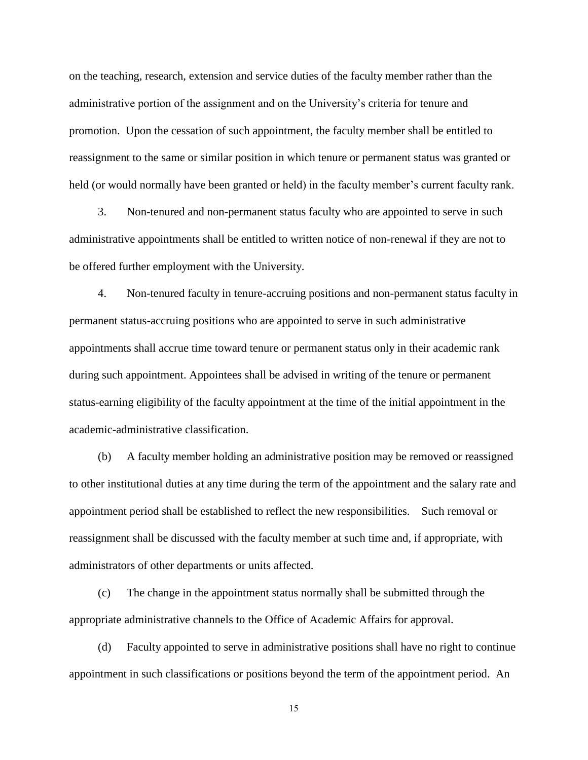on the teaching, research, extension and service duties of the faculty member rather than the administrative portion of the assignment and on the University's criteria for tenure and promotion. Upon the cessation of such appointment, the faculty member shall be entitled to reassignment to the same or similar position in which tenure or permanent status was granted or held (or would normally have been granted or held) in the faculty member's current faculty rank.

3. Non-tenured and non-permanent status faculty who are appointed to serve in such administrative appointments shall be entitled to written notice of non-renewal if they are not to be offered further employment with the University.

4. Non-tenured faculty in tenure-accruing positions and non-permanent status faculty in permanent status-accruing positions who are appointed to serve in such administrative appointments shall accrue time toward tenure or permanent status only in their academic rank during such appointment. Appointees shall be advised in writing of the tenure or permanent status-earning eligibility of the faculty appointment at the time of the initial appointment in the academic-administrative classification.

(b) A faculty member holding an administrative position may be removed or reassigned to other institutional duties at any time during the term of the appointment and the salary rate and appointment period shall be established to reflect the new responsibilities. Such removal or reassignment shall be discussed with the faculty member at such time and, if appropriate, with administrators of other departments or units affected.

(c) The change in the appointment status normally shall be submitted through the appropriate administrative channels to the Office of Academic Affairs for approval.

(d) Faculty appointed to serve in administrative positions shall have no right to continue appointment in such classifications or positions beyond the term of the appointment period. An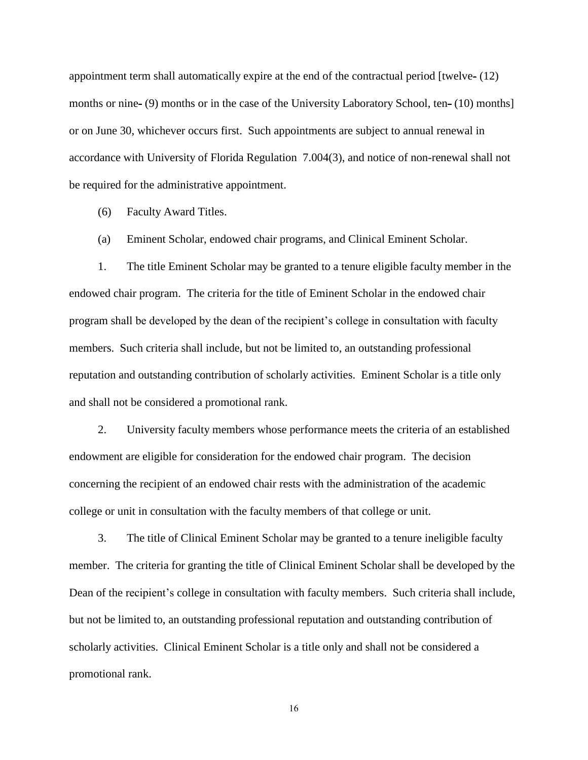appointment term shall automatically expire at the end of the contractual period [twelve- (12) months or nine- (9) months or in the case of the University Laboratory School, ten- (10) months or on June 30, whichever occurs first. Such appointments are subject to annual renewal in accordance with University of Florida Regulation 7.004(3), and notice of non-renewal shall not be required for the administrative appointment.

(6) Faculty Award Titles.

(a) Eminent Scholar, endowed chair programs, and Clinical Eminent Scholar.

1. The title Eminent Scholar may be granted to a tenure eligible faculty member in the endowed chair program. The criteria for the title of Eminent Scholar in the endowed chair program shall be developed by the dean of the recipient's college in consultation with faculty members. Such criteria shall include, but not be limited to, an outstanding professional reputation and outstanding contribution of scholarly activities. Eminent Scholar is a title only and shall not be considered a promotional rank.

2. University faculty members whose performance meets the criteria of an established endowment are eligible for consideration for the endowed chair program. The decision concerning the recipient of an endowed chair rests with the administration of the academic college or unit in consultation with the faculty members of that college or unit.

3. The title of Clinical Eminent Scholar may be granted to a tenure ineligible faculty member. The criteria for granting the title of Clinical Eminent Scholar shall be developed by the Dean of the recipient's college in consultation with faculty members. Such criteria shall include, but not be limited to, an outstanding professional reputation and outstanding contribution of scholarly activities. Clinical Eminent Scholar is a title only and shall not be considered a promotional rank.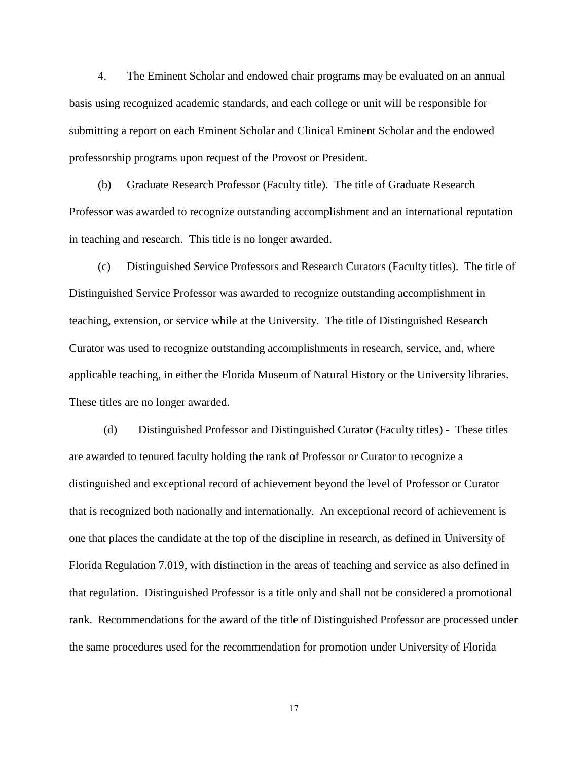4. The Eminent Scholar and endowed chair programs may be evaluated on an annual basis using recognized academic standards, and each college or unit will be responsible for submitting a report on each Eminent Scholar and Clinical Eminent Scholar and the endowed professorship programs upon request of the Provost or President.

(b) Graduate Research Professor (Faculty title). The title of Graduate Research Professor was awarded to recognize outstanding accomplishment and an international reputation in teaching and research. This title is no longer awarded.

(c) Distinguished Service Professors and Research Curators (Faculty titles). The title of Distinguished Service Professor was awarded to recognize outstanding accomplishment in teaching, extension, or service while at the University. The title of Distinguished Research Curator was used to recognize outstanding accomplishments in research, service, and, where applicable teaching, in either the Florida Museum of Natural History or the University libraries. These titles are no longer awarded.

(d) Distinguished Professor and Distinguished Curator (Faculty titles) - These titles are awarded to tenured faculty holding the rank of Professor or Curator to recognize a distinguished and exceptional record of achievement beyond the level of Professor or Curator that is recognized both nationally and internationally. An exceptional record of achievement is one that places the candidate at the top of the discipline in research, as defined in University of Florida Regulation 7.019, with distinction in the areas of teaching and service as also defined in that regulation. Distinguished Professor is a title only and shall not be considered a promotional rank. Recommendations for the award of the title of Distinguished Professor are processed under the same procedures used for the recommendation for promotion under University of Florida